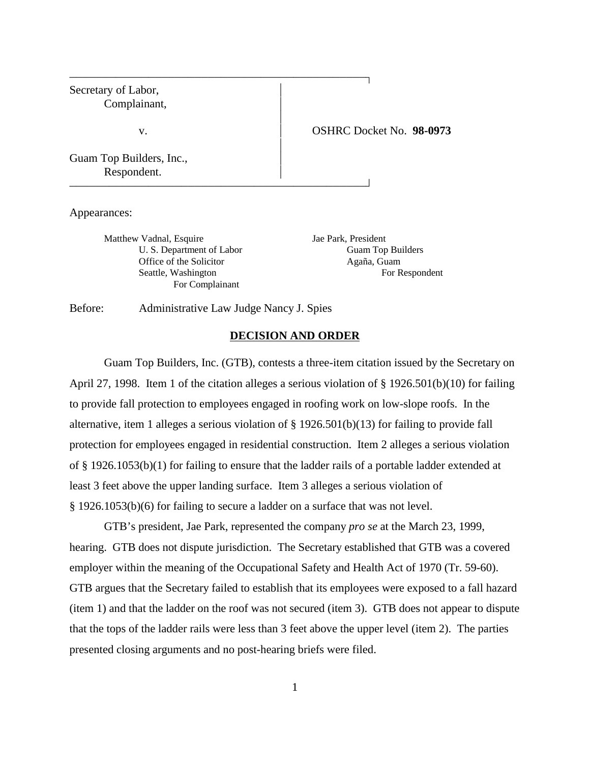| Secretary of Labor,<br>Complainant,     |                                 |
|-----------------------------------------|---------------------------------|
| v.                                      | <b>OSHRC Docket No. 98-0973</b> |
| Guam Top Builders, Inc.,<br>Respondent. |                                 |

Appearances:

Matthew Vadnal, Esquire Jae Park, President Office of the Solicitor Agaña, Guam For Complainant

U. S. Department of Labor Guam Top Builders Seattle, Washington For Respondent

Before: Administrative Law Judge Nancy J. Spies

#### **DECISION AND ORDER**

Guam Top Builders, Inc. (GTB), contests a three-item citation issued by the Secretary on April 27, 1998. Item 1 of the citation alleges a serious violation of § 1926.501(b)(10) for failing to provide fall protection to employees engaged in roofing work on low-slope roofs. In the alternative, item 1 alleges a serious violation of  $\S 1926.501(b)(13)$  for failing to provide fall protection for employees engaged in residential construction. Item 2 alleges a serious violation of § 1926.1053(b)(1) for failing to ensure that the ladder rails of a portable ladder extended at least 3 feet above the upper landing surface. Item 3 alleges a serious violation of § 1926.1053(b)(6) for failing to secure a ladder on a surface that was not level.

GTB's president, Jae Park, represented the company *pro se* at the March 23, 1999, hearing. GTB does not dispute jurisdiction. The Secretary established that GTB was a covered employer within the meaning of the Occupational Safety and Health Act of 1970 (Tr. 59-60). GTB argues that the Secretary failed to establish that its employees were exposed to a fall hazard (item 1) and that the ladder on the roof was not secured (item 3). GTB does not appear to dispute that the tops of the ladder rails were less than 3 feet above the upper level (item 2). The parties presented closing arguments and no post-hearing briefs were filed.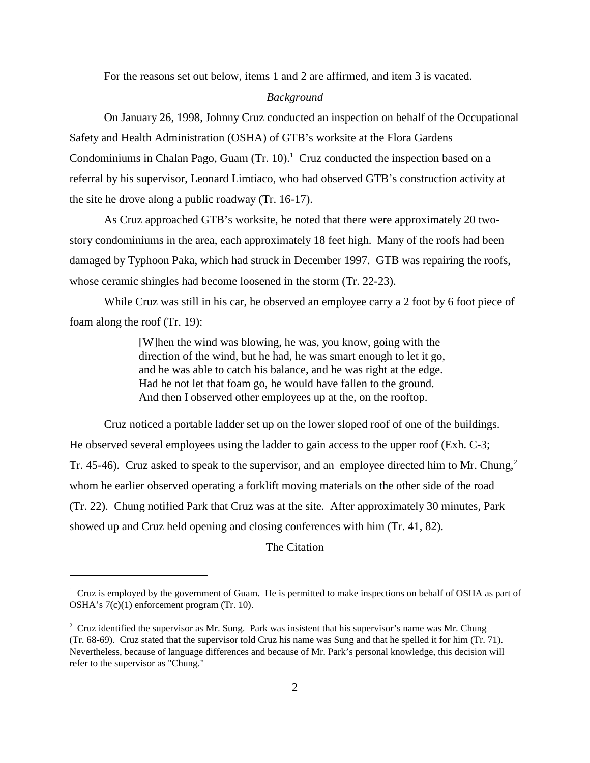For the reasons set out below, items 1 and 2 are affirmed, and item 3 is vacated.

#### *Background*

On January 26, 1998, Johnny Cruz conducted an inspection on behalf of the Occupational Safety and Health Administration (OSHA) of GTB's worksite at the Flora Gardens Condominiums in Chalan Pago, Guam  $(Tr. 10)$ .<sup>1</sup> Cruz conducted the inspection based on a referral by his supervisor, Leonard Limtiaco, who had observed GTB's construction activity at the site he drove along a public roadway (Tr. 16-17).

As Cruz approached GTB's worksite, he noted that there were approximately 20 twostory condominiums in the area, each approximately 18 feet high. Many of the roofs had been damaged by Typhoon Paka, which had struck in December 1997. GTB was repairing the roofs, whose ceramic shingles had become loosened in the storm (Tr. 22-23).

While Cruz was still in his car, he observed an employee carry a 2 foot by 6 foot piece of foam along the roof (Tr. 19):

> [W]hen the wind was blowing, he was, you know, going with the direction of the wind, but he had, he was smart enough to let it go, and he was able to catch his balance, and he was right at the edge. Had he not let that foam go, he would have fallen to the ground. And then I observed other employees up at the, on the rooftop.

Cruz noticed a portable ladder set up on the lower sloped roof of one of the buildings. He observed several employees using the ladder to gain access to the upper roof (Exh. C-3; Tr. 45-46). Cruz asked to speak to the supervisor, and an employee directed him to Mr. Chung,<sup>2</sup> whom he earlier observed operating a forklift moving materials on the other side of the road (Tr. 22). Chung notified Park that Cruz was at the site. After approximately 30 minutes, Park showed up and Cruz held opening and closing conferences with him (Tr. 41, 82).

### The Citation

 $1$  Cruz is employed by the government of Guam. He is permitted to make inspections on behalf of OSHA as part of OSHA's 7(c)(1) enforcement program (Tr. 10).

<sup>&</sup>lt;sup>2</sup> Cruz identified the supervisor as Mr. Sung. Park was insistent that his supervisor's name was Mr. Chung (Tr. 68-69). Cruz stated that the supervisor told Cruz his name was Sung and that he spelled it for him (Tr. 71). Nevertheless, because of language differences and because of Mr. Park's personal knowledge, this decision will refer to the supervisor as "Chung."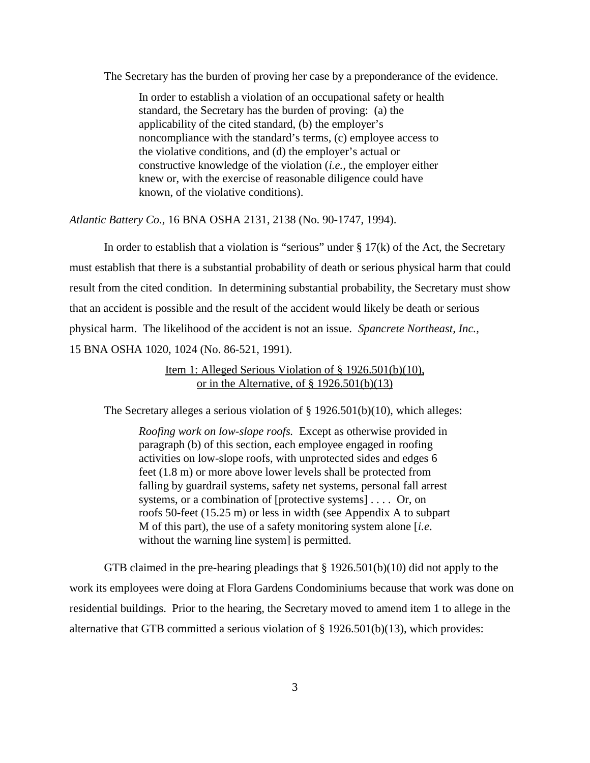The Secretary has the burden of proving her case by a preponderance of the evidence.

In order to establish a violation of an occupational safety or health standard, the Secretary has the burden of proving: (a) the applicability of the cited standard, (b) the employer's noncompliance with the standard's terms, (c) employee access to the violative conditions, and (d) the employer's actual or constructive knowledge of the violation (*i.e.,* the employer either knew or, with the exercise of reasonable diligence could have known, of the violative conditions).

*Atlantic Battery Co.,* 16 BNA OSHA 2131, 2138 (No. 90-1747, 1994).

In order to establish that a violation is "serious" under  $\S 17(k)$  of the Act, the Secretary must establish that there is a substantial probability of death or serious physical harm that could result from the cited condition. In determining substantial probability, the Secretary must show that an accident is possible and the result of the accident would likely be death or serious physical harm. The likelihood of the accident is not an issue. *Spancrete Northeast, Inc.,* 15 BNA OSHA 1020, 1024 (No. 86-521, 1991).

> Item 1: Alleged Serious Violation of § 1926.501(b)(10), or in the Alternative, of  $\S 1926.501(b)(13)$

The Secretary alleges a serious violation of § 1926.501(b)(10), which alleges:

*Roofing work on low-slope roofs.* Except as otherwise provided in paragraph (b) of this section, each employee engaged in roofing activities on low-slope roofs, with unprotected sides and edges 6 feet (1.8 m) or more above lower levels shall be protected from falling by guardrail systems, safety net systems, personal fall arrest systems, or a combination of [protective systems] . . . . Or, on roofs 50-feet (15.25 m) or less in width (see Appendix A to subpart M of this part), the use of a safety monitoring system alone [*i.e*. without the warning line system] is permitted.

GTB claimed in the pre-hearing pleadings that § 1926.501(b)(10) did not apply to the work its employees were doing at Flora Gardens Condominiums because that work was done on residential buildings. Prior to the hearing, the Secretary moved to amend item 1 to allege in the alternative that GTB committed a serious violation of  $\S 1926.501(b)(13)$ , which provides: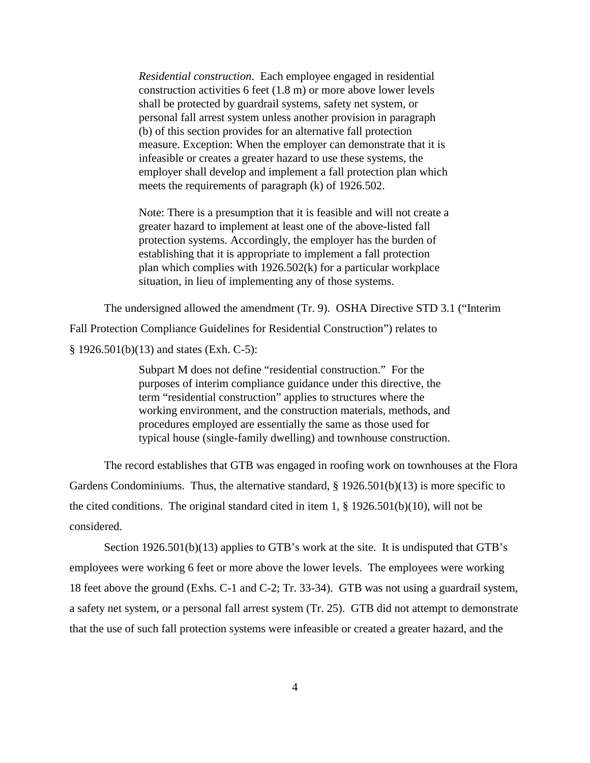*Residential construction*. Each employee engaged in residential construction activities 6 feet (1.8 m) or more above lower levels shall be protected by guardrail systems, safety net system, or personal fall arrest system unless another provision in paragraph (b) of this section provides for an alternative fall protection measure. Exception: When the employer can demonstrate that it is infeasible or creates a greater hazard to use these systems, the employer shall develop and implement a fall protection plan which meets the requirements of paragraph (k) of 1926.502.

Note: There is a presumption that it is feasible and will not create a greater hazard to implement at least one of the above-listed fall protection systems. Accordingly, the employer has the burden of establishing that it is appropriate to implement a fall protection plan which complies with 1926.502(k) for a particular workplace situation, in lieu of implementing any of those systems.

The undersigned allowed the amendment (Tr. 9). OSHA Directive STD 3.1 ("Interim Fall Protection Compliance Guidelines for Residential Construction") relates to § 1926.501(b)(13) and states (Exh. C-5):

> Subpart M does not define "residential construction." For the purposes of interim compliance guidance under this directive, the term "residential construction" applies to structures where the working environment, and the construction materials, methods, and procedures employed are essentially the same as those used for typical house (single-family dwelling) and townhouse construction.

The record establishes that GTB was engaged in roofing work on townhouses at the Flora Gardens Condominiums. Thus, the alternative standard,  $\S$  1926.501(b)(13) is more specific to the cited conditions. The original standard cited in item 1,  $\S$  1926.501(b)(10), will not be considered.

Section 1926.501(b)(13) applies to GTB's work at the site. It is undisputed that GTB's employees were working 6 feet or more above the lower levels. The employees were working 18 feet above the ground (Exhs. C-1 and C-2; Tr. 33-34). GTB was not using a guardrail system, a safety net system, or a personal fall arrest system (Tr. 25). GTB did not attempt to demonstrate that the use of such fall protection systems were infeasible or created a greater hazard, and the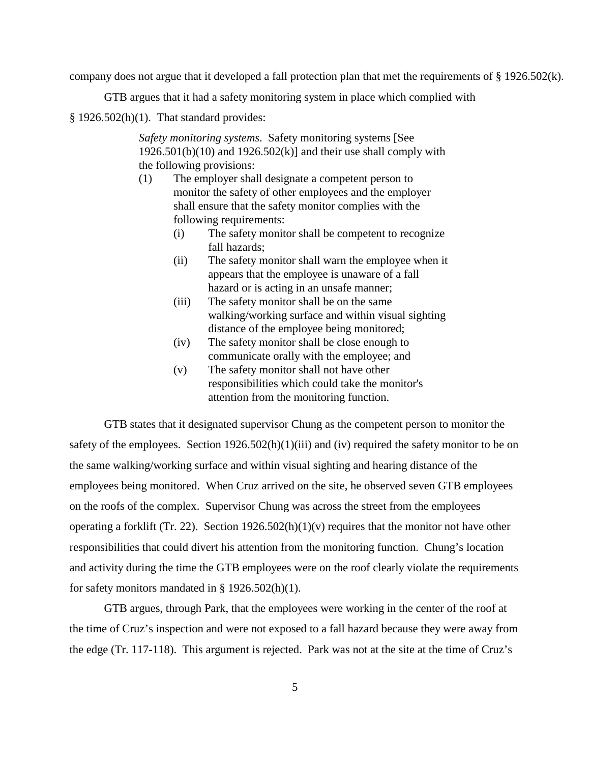company does not argue that it developed a fall protection plan that met the requirements of § 1926.502(k).

GTB argues that it had a safety monitoring system in place which complied with

 $§$  1926.502(h)(1). That standard provides:

*Safety monitoring systems*. Safety monitoring systems [See  $1926.501(b)(10)$  and  $1926.502(k)$ ] and their use shall comply with the following provisions:

- (1) The employer shall designate a competent person to monitor the safety of other employees and the employer shall ensure that the safety monitor complies with the following requirements:
	- (i) The safety monitor shall be competent to recognize fall hazards;
	- (ii) The safety monitor shall warn the employee when it appears that the employee is unaware of a fall hazard or is acting in an unsafe manner;
	- (iii) The safety monitor shall be on the same walking/working surface and within visual sighting distance of the employee being monitored;
	- (iv) The safety monitor shall be close enough to communicate orally with the employee; and
	- (v) The safety monitor shall not have other responsibilities which could take the monitor's attention from the monitoring function.

GTB states that it designated supervisor Chung as the competent person to monitor the safety of the employees. Section 1926.502(h)(1)(iii) and (iv) required the safety monitor to be on the same walking/working surface and within visual sighting and hearing distance of the employees being monitored. When Cruz arrived on the site, he observed seven GTB employees on the roofs of the complex. Supervisor Chung was across the street from the employees operating a forklift (Tr. 22). Section  $1926.502(h)(1)(v)$  requires that the monitor not have other responsibilities that could divert his attention from the monitoring function. Chung's location and activity during the time the GTB employees were on the roof clearly violate the requirements for safety monitors mandated in § 1926.502(h)(1).

GTB argues, through Park, that the employees were working in the center of the roof at the time of Cruz's inspection and were not exposed to a fall hazard because they were away from the edge (Tr. 117-118). This argument is rejected. Park was not at the site at the time of Cruz's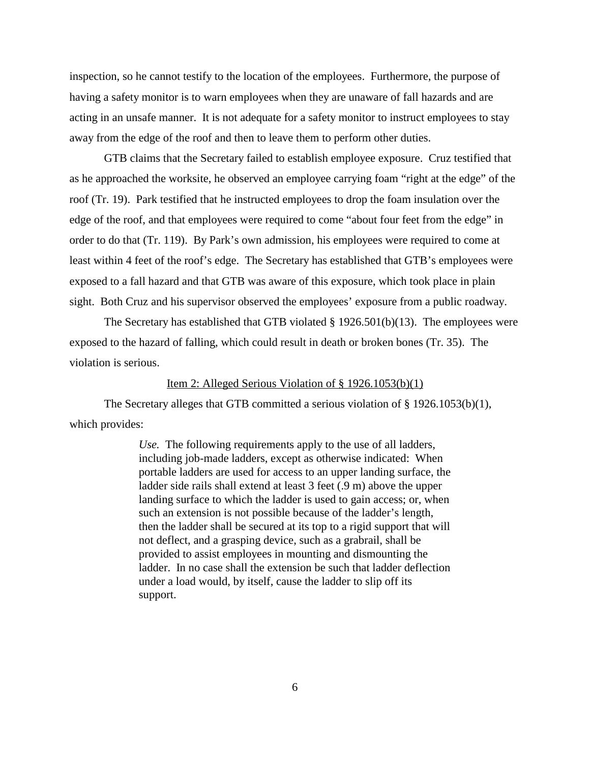inspection, so he cannot testify to the location of the employees. Furthermore, the purpose of having a safety monitor is to warn employees when they are unaware of fall hazards and are acting in an unsafe manner. It is not adequate for a safety monitor to instruct employees to stay away from the edge of the roof and then to leave them to perform other duties.

GTB claims that the Secretary failed to establish employee exposure. Cruz testified that as he approached the worksite, he observed an employee carrying foam "right at the edge" of the roof (Tr. 19). Park testified that he instructed employees to drop the foam insulation over the edge of the roof, and that employees were required to come "about four feet from the edge" in order to do that (Tr. 119). By Park's own admission, his employees were required to come at least within 4 feet of the roof's edge. The Secretary has established that GTB's employees were exposed to a fall hazard and that GTB was aware of this exposure, which took place in plain sight. Both Cruz and his supervisor observed the employees' exposure from a public roadway.

The Secretary has established that GTB violated § 1926.501(b)(13). The employees were exposed to the hazard of falling, which could result in death or broken bones (Tr. 35). The violation is serious.

### Item 2: Alleged Serious Violation of § 1926.1053(b)(1)

The Secretary alleges that GTB committed a serious violation of § 1926.1053(b)(1), which provides:

> *Use.* The following requirements apply to the use of all ladders, including job-made ladders, except as otherwise indicated: When portable ladders are used for access to an upper landing surface, the ladder side rails shall extend at least 3 feet (.9 m) above the upper landing surface to which the ladder is used to gain access; or, when such an extension is not possible because of the ladder's length, then the ladder shall be secured at its top to a rigid support that will not deflect, and a grasping device, such as a grabrail, shall be provided to assist employees in mounting and dismounting the ladder. In no case shall the extension be such that ladder deflection under a load would, by itself, cause the ladder to slip off its support.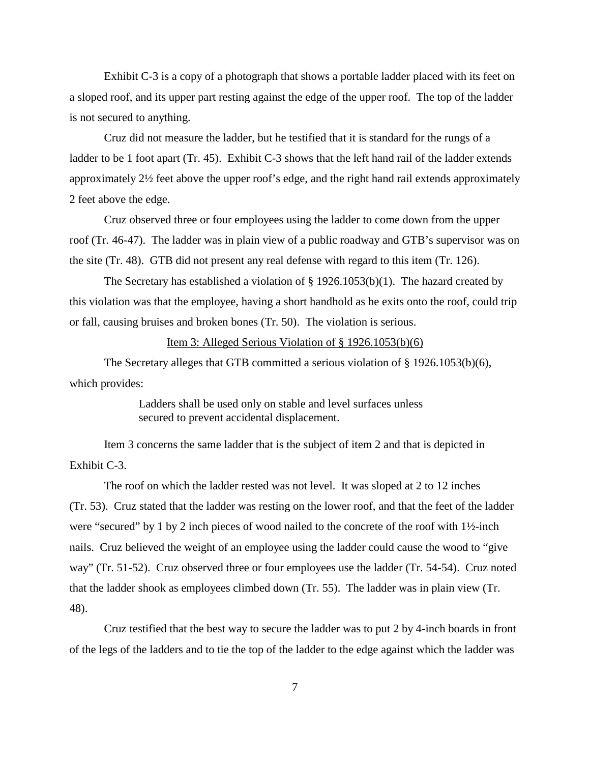Exhibit C-3 is a copy of a photograph that shows a portable ladder placed with its feet on a sloped roof, and its upper part resting against the edge of the upper roof. The top of the ladder is not secured to anything.

Cruz did not measure the ladder, but he testified that it is standard for the rungs of a ladder to be 1 foot apart (Tr. 45). Exhibit C-3 shows that the left hand rail of the ladder extends approximately 2½ feet above the upper roof's edge, and the right hand rail extends approximately 2 feet above the edge.

Cruz observed three or four employees using the ladder to come down from the upper roof (Tr. 46-47). The ladder was in plain view of a public roadway and GTB's supervisor was on the site (Tr. 48). GTB did not present any real defense with regard to this item (Tr. 126).

The Secretary has established a violation of § 1926.1053(b)(1). The hazard created by this violation was that the employee, having a short handhold as he exits onto the roof, could trip or fall, causing bruises and broken bones (Tr. 50). The violation is serious.

#### Item 3: Alleged Serious Violation of § 1926.1053(b)(6)

The Secretary alleges that GTB committed a serious violation of § 1926.1053(b)(6), which provides:

> Ladders shall be used only on stable and level surfaces unless secured to prevent accidental displacement.

Item 3 concerns the same ladder that is the subject of item 2 and that is depicted in Exhibit C-3.

The roof on which the ladder rested was not level. It was sloped at 2 to 12 inches (Tr. 53). Cruz stated that the ladder was resting on the lower roof, and that the feet of the ladder were "secured" by 1 by 2 inch pieces of wood nailed to the concrete of the roof with 1½-inch nails. Cruz believed the weight of an employee using the ladder could cause the wood to "give way" (Tr. 51-52). Cruz observed three or four employees use the ladder (Tr. 54-54). Cruz noted that the ladder shook as employees climbed down (Tr. 55). The ladder was in plain view (Tr. 48).

Cruz testified that the best way to secure the ladder was to put 2 by 4-inch boards in front of the legs of the ladders and to tie the top of the ladder to the edge against which the ladder was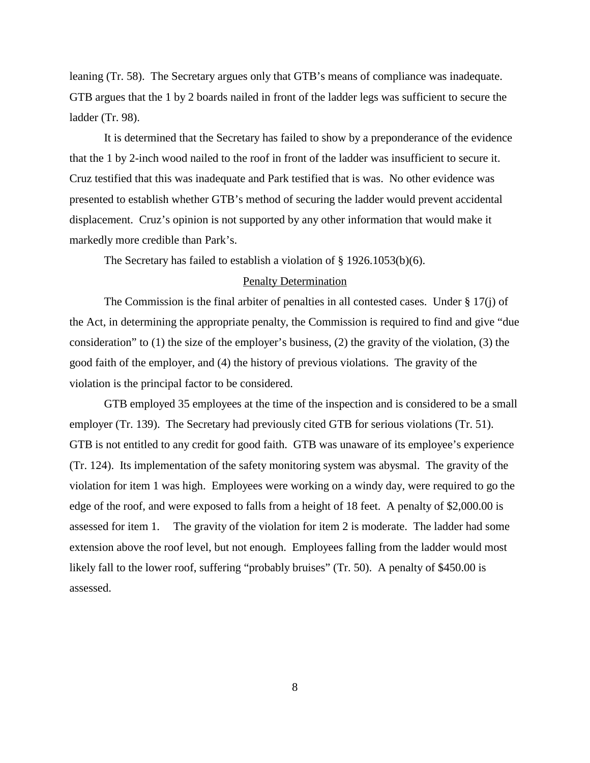leaning (Tr. 58). The Secretary argues only that GTB's means of compliance was inadequate. GTB argues that the 1 by 2 boards nailed in front of the ladder legs was sufficient to secure the ladder (Tr. 98).

It is determined that the Secretary has failed to show by a preponderance of the evidence that the 1 by 2-inch wood nailed to the roof in front of the ladder was insufficient to secure it. Cruz testified that this was inadequate and Park testified that is was. No other evidence was presented to establish whether GTB's method of securing the ladder would prevent accidental displacement. Cruz's opinion is not supported by any other information that would make it markedly more credible than Park's.

The Secretary has failed to establish a violation of § 1926.1053(b)(6).

## Penalty Determination

The Commission is the final arbiter of penalties in all contested cases. Under § 17(j) of the Act, in determining the appropriate penalty, the Commission is required to find and give "due consideration" to (1) the size of the employer's business, (2) the gravity of the violation, (3) the good faith of the employer, and (4) the history of previous violations. The gravity of the violation is the principal factor to be considered.

GTB employed 35 employees at the time of the inspection and is considered to be a small employer (Tr. 139). The Secretary had previously cited GTB for serious violations (Tr. 51). GTB is not entitled to any credit for good faith. GTB was unaware of its employee's experience (Tr. 124). Its implementation of the safety monitoring system was abysmal. The gravity of the violation for item 1 was high. Employees were working on a windy day, were required to go the edge of the roof, and were exposed to falls from a height of 18 feet. A penalty of \$2,000.00 is assessed for item 1. The gravity of the violation for item 2 is moderate. The ladder had some extension above the roof level, but not enough. Employees falling from the ladder would most likely fall to the lower roof, suffering "probably bruises" (Tr. 50). A penalty of \$450.00 is assessed.

8